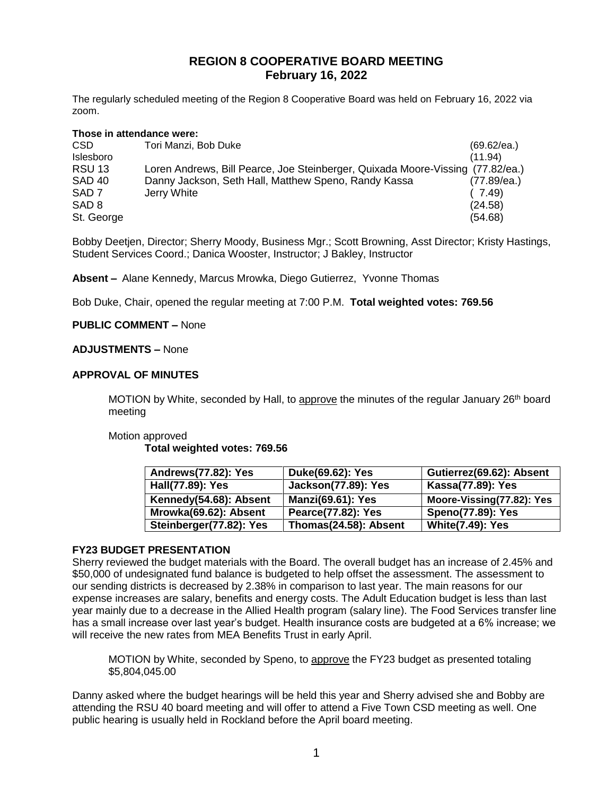# **REGION 8 COOPERATIVE BOARD MEETING February 16, 2022**

The regularly scheduled meeting of the Region 8 Cooperative Board was held on February 16, 2022 via zoom.

#### **Those in attendance were:**

| CSD               | Tori Manzi, Bob Duke                                                           | (69.62/ea.) |
|-------------------|--------------------------------------------------------------------------------|-------------|
| Islesboro         |                                                                                | (11.94)     |
| <b>RSU 13</b>     | Loren Andrews, Bill Pearce, Joe Steinberger, Quixada Moore-Vissing (77.82/ea.) |             |
| SAD <sub>40</sub> | Danny Jackson, Seth Hall, Matthew Speno, Randy Kassa                           | (77.89/ea.) |
| SAD <sub>7</sub>  | Jerry White                                                                    | (7.49)      |
| SAD <sub>8</sub>  |                                                                                | (24.58)     |
| St. George        |                                                                                | (54.68)     |

Bobby Deetjen, Director; Sherry Moody, Business Mgr.; Scott Browning, Asst Director; Kristy Hastings, Student Services Coord.; Danica Wooster, Instructor; J Bakley, Instructor

**Absent –** Alane Kennedy, Marcus Mrowka, Diego Gutierrez, Yvonne Thomas

Bob Duke, Chair, opened the regular meeting at 7:00 P.M. **Total weighted votes: 769.56**

### **PUBLIC COMMENT –** None

### **ADJUSTMENTS –** None

### **APPROVAL OF MINUTES**

MOTION by White, seconded by Hall, to approve the minutes of the regular January 26<sup>th</sup> board meeting

#### Motion approved

**Total weighted votes: 769.56**

| Andrews(77.82): Yes     | Duke(69.62): Yes           | Gutierrez(69.62): Absent  |
|-------------------------|----------------------------|---------------------------|
| Hall(77.89): Yes        | <b>Jackson(77.89): Yes</b> | Kassa(77.89): Yes         |
| Kennedy(54.68): Absent  | <b>Manzi(69.61): Yes</b>   | Moore-Vissing(77.82): Yes |
| Mrowka(69.62): Absent   | Pearce(77.82): Yes         | <b>Speno(77.89): Yes</b>  |
| Steinberger(77.82): Yes | Thomas(24.58): Absent      | <b>White(7.49): Yes</b>   |

# **FY23 BUDGET PRESENTATION**

Sherry reviewed the budget materials with the Board. The overall budget has an increase of 2.45% and \$50,000 of undesignated fund balance is budgeted to help offset the assessment. The assessment to our sending districts is decreased by 2.38% in comparison to last year. The main reasons for our expense increases are salary, benefits and energy costs. The Adult Education budget is less than last year mainly due to a decrease in the Allied Health program (salary line). The Food Services transfer line has a small increase over last year's budget. Health insurance costs are budgeted at a 6% increase; we will receive the new rates from MEA Benefits Trust in early April.

MOTION by White, seconded by Speno, to approve the FY23 budget as presented totaling \$5,804,045.00

Danny asked where the budget hearings will be held this year and Sherry advised she and Bobby are attending the RSU 40 board meeting and will offer to attend a Five Town CSD meeting as well. One public hearing is usually held in Rockland before the April board meeting.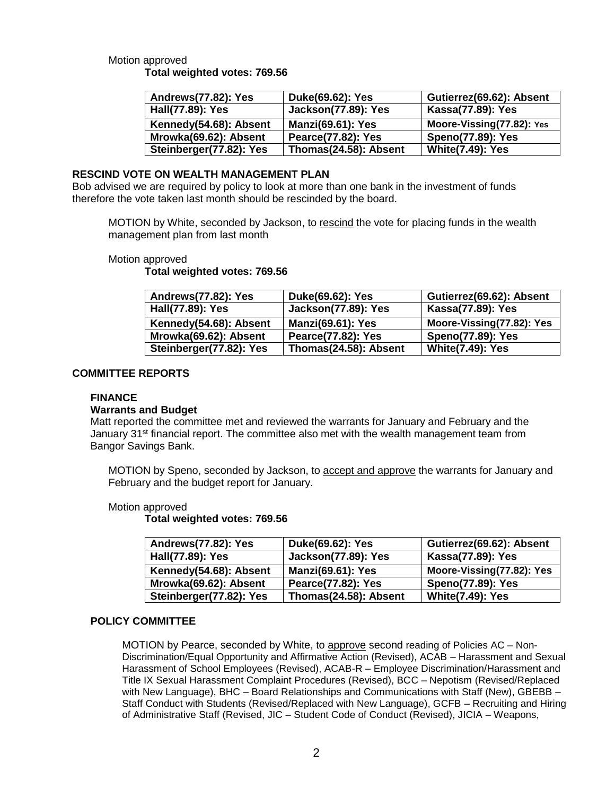# Motion approved **Total weighted votes: 769.56**

| Andrews(77.82): Yes     | Duke(69.62): Yes           | Gutierrez(69.62): Absent  |
|-------------------------|----------------------------|---------------------------|
| Hall(77.89): Yes        | <b>Jackson(77.89): Yes</b> | Kassa(77.89): Yes         |
| Kennedy(54.68): Absent  | <b>Manzi(69.61): Yes</b>   | Moore-Vissing(77.82): Yes |
| Mrowka(69.62): Absent   | Pearce(77.82): Yes         | <b>Speno(77.89): Yes</b>  |
| Steinberger(77.82): Yes | Thomas(24.58): Absent      | <b>White(7.49): Yes</b>   |

# **RESCIND VOTE ON WEALTH MANAGEMENT PLAN**

Bob advised we are required by policy to look at more than one bank in the investment of funds therefore the vote taken last month should be rescinded by the board.

MOTION by White, seconded by Jackson, to rescind the vote for placing funds in the wealth management plan from last month

### Motion approved

**Total weighted votes: 769.56**

| Andrews(77.82): Yes     | Duke(69.62): Yes           | Gutierrez(69.62): Absent  |
|-------------------------|----------------------------|---------------------------|
| Hall(77.89): Yes        | <b>Jackson(77.89): Yes</b> | Kassa(77.89): Yes         |
| Kennedy(54.68): Absent  | <b>Manzi(69.61): Yes</b>   | Moore-Vissing(77.82): Yes |
| Mrowka(69.62): Absent   | Pearce(77.82): Yes         | <b>Speno(77.89): Yes</b>  |
| Steinberger(77.82): Yes | Thomas(24.58): Absent      | <b>White(7.49): Yes</b>   |

# **COMMITTEE REPORTS**

### **FINANCE**

#### **Warrants and Budget**

Matt reported the committee met and reviewed the warrants for January and February and the January 31<sup>st</sup> financial report. The committee also met with the wealth management team from Bangor Savings Bank.

MOTION by Speno, seconded by Jackson, to accept and approve the warrants for January and February and the budget report for January.

# Motion approved

**Total weighted votes: 769.56**

| Andrews(77.82): Yes     | Duke(69.62): Yes           | Gutierrez(69.62): Absent  |
|-------------------------|----------------------------|---------------------------|
| Hall(77.89): Yes        | <b>Jackson(77.89): Yes</b> | Kassa(77.89): Yes         |
| Kennedy(54.68): Absent  | <b>Manzi(69.61): Yes</b>   | Moore-Vissing(77.82): Yes |
| Mrowka(69.62): Absent   | Pearce(77.82): Yes         | <b>Speno(77.89): Yes</b>  |
| Steinberger(77.82): Yes | Thomas(24.58): Absent      | <b>White(7.49): Yes</b>   |

# **POLICY COMMITTEE**

MOTION by Pearce, seconded by White, to approve second reading of Policies AC – Non-Discrimination/Equal Opportunity and Affirmative Action (Revised), ACAB – Harassment and Sexual Harassment of School Employees (Revised), ACAB-R – Employee Discrimination/Harassment and Title IX Sexual Harassment Complaint Procedures (Revised), BCC – Nepotism (Revised/Replaced with New Language), BHC – Board Relationships and Communications with Staff (New), GBEBB – Staff Conduct with Students (Revised/Replaced with New Language), GCFB – Recruiting and Hiring of Administrative Staff (Revised, JIC – Student Code of Conduct (Revised), JICIA – Weapons,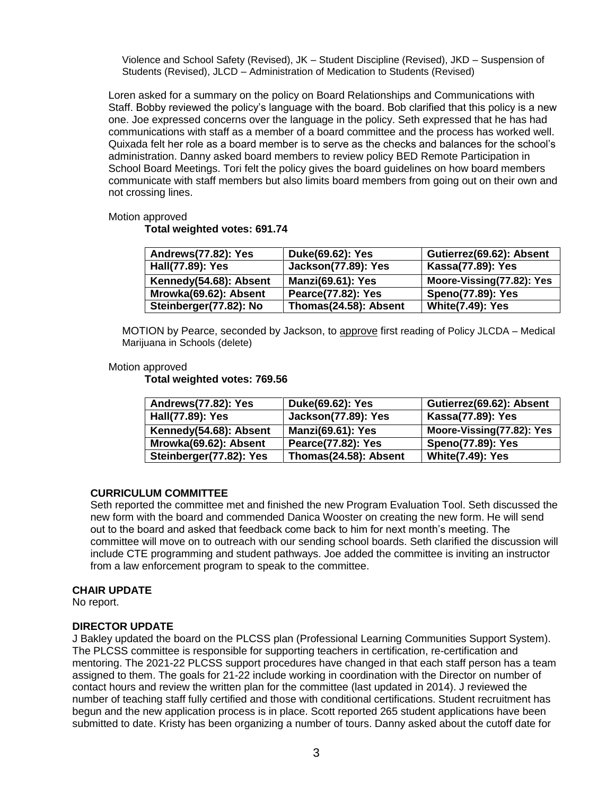Violence and School Safety (Revised), JK – Student Discipline (Revised), JKD – Suspension of Students (Revised), JLCD – Administration of Medication to Students (Revised)

Loren asked for a summary on the policy on Board Relationships and Communications with Staff. Bobby reviewed the policy's language with the board. Bob clarified that this policy is a new one. Joe expressed concerns over the language in the policy. Seth expressed that he has had communications with staff as a member of a board committee and the process has worked well. Quixada felt her role as a board member is to serve as the checks and balances for the school's administration. Danny asked board members to review policy BED Remote Participation in School Board Meetings. Tori felt the policy gives the board guidelines on how board members communicate with staff members but also limits board members from going out on their own and not crossing lines.

#### Motion approved

### **Total weighted votes: 691.74**

| Andrews(77.82): Yes    | Duke(69.62): Yes           | Gutierrez(69.62): Absent  |
|------------------------|----------------------------|---------------------------|
| Hall(77.89): Yes       | <b>Jackson(77.89): Yes</b> | Kassa(77.89): Yes         |
| Kennedy(54.68): Absent | <b>Manzi(69.61): Yes</b>   | Moore-Vissing(77.82): Yes |
| Mrowka(69.62): Absent  | Pearce(77.82): Yes         | <b>Speno(77.89): Yes</b>  |
| Steinberger(77.82): No | Thomas(24.58): Absent      | <b>White(7.49): Yes</b>   |

MOTION by Pearce, seconded by Jackson, to approve first reading of Policy JLCDA – Medical Marijuana in Schools (delete)

### Motion approved

**Total weighted votes: 769.56**

| Andrews(77.82): Yes     | Duke(69.62): Yes           | Gutierrez(69.62): Absent  |
|-------------------------|----------------------------|---------------------------|
| Hall(77.89): Yes        | <b>Jackson(77.89): Yes</b> | Kassa(77.89): Yes         |
| Kennedy(54.68): Absent  | <b>Manzi(69.61): Yes</b>   | Moore-Vissing(77.82): Yes |
| Mrowka(69.62): Absent   | Pearce(77.82): Yes         | <b>Speno(77.89): Yes</b>  |
| Steinberger(77.82): Yes | Thomas(24.58): Absent      | <b>White(7.49): Yes</b>   |

# **CURRICULUM COMMITTEE**

Seth reported the committee met and finished the new Program Evaluation Tool. Seth discussed the new form with the board and commended Danica Wooster on creating the new form. He will send out to the board and asked that feedback come back to him for next month's meeting. The committee will move on to outreach with our sending school boards. Seth clarified the discussion will include CTE programming and student pathways. Joe added the committee is inviting an instructor from a law enforcement program to speak to the committee.

# **CHAIR UPDATE**

No report.

#### **DIRECTOR UPDATE**

J Bakley updated the board on the PLCSS plan (Professional Learning Communities Support System). The PLCSS committee is responsible for supporting teachers in certification, re-certification and mentoring. The 2021-22 PLCSS support procedures have changed in that each staff person has a team assigned to them. The goals for 21-22 include working in coordination with the Director on number of contact hours and review the written plan for the committee (last updated in 2014). J reviewed the number of teaching staff fully certified and those with conditional certifications. Student recruitment has begun and the new application process is in place. Scott reported 265 student applications have been submitted to date. Kristy has been organizing a number of tours. Danny asked about the cutoff date for